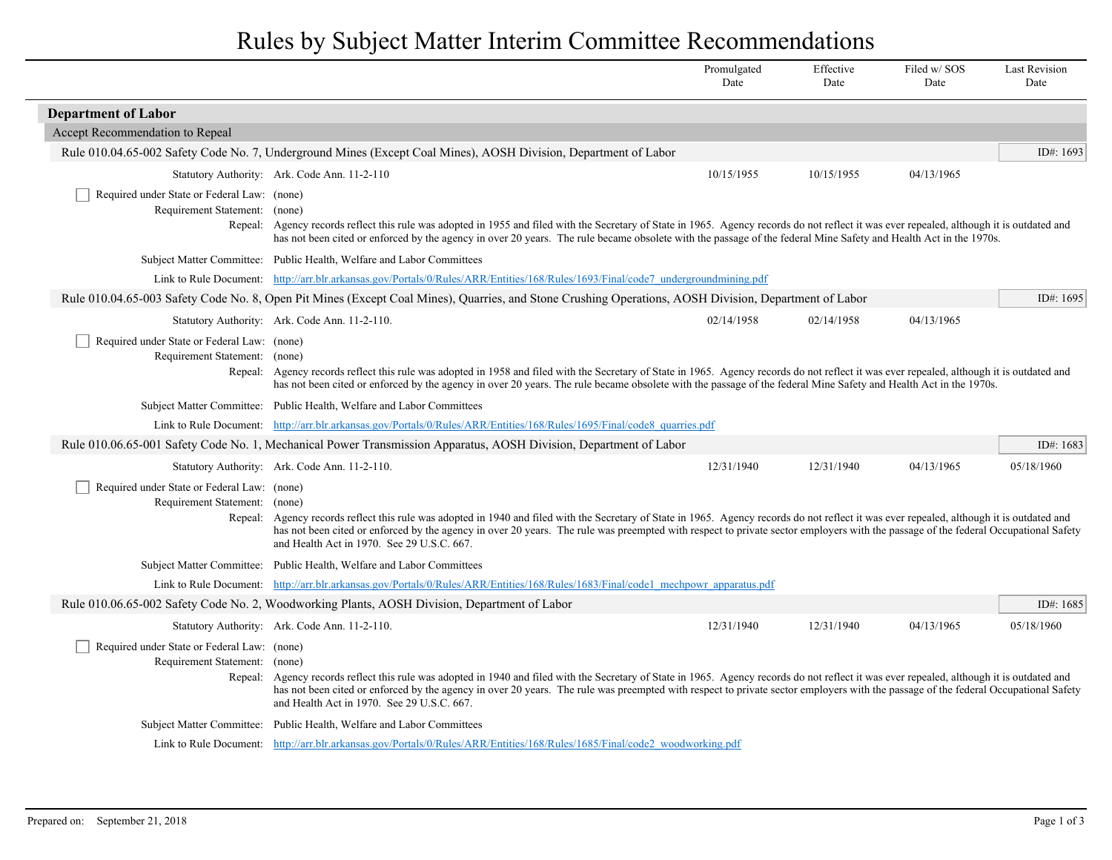## Rules by Subject Matter Interim Committee Recommendations

|                                                                                                                                  |                                                                                                                                                                                                                                                                                                                                                                                                                         | Promulgated<br>Date | Effective<br>Date | Filed w/SOS<br>Date | <b>Last Revision</b><br>Date |
|----------------------------------------------------------------------------------------------------------------------------------|-------------------------------------------------------------------------------------------------------------------------------------------------------------------------------------------------------------------------------------------------------------------------------------------------------------------------------------------------------------------------------------------------------------------------|---------------------|-------------------|---------------------|------------------------------|
| <b>Department of Labor</b>                                                                                                       |                                                                                                                                                                                                                                                                                                                                                                                                                         |                     |                   |                     |                              |
| Accept Recommendation to Repeal                                                                                                  |                                                                                                                                                                                                                                                                                                                                                                                                                         |                     |                   |                     |                              |
|                                                                                                                                  | Rule 010.04.65-002 Safety Code No. 7, Underground Mines (Except Coal Mines), AOSH Division, Department of Labor                                                                                                                                                                                                                                                                                                         |                     |                   |                     | ID#: 1693                    |
|                                                                                                                                  | Statutory Authority: Ark. Code Ann. 11-2-110                                                                                                                                                                                                                                                                                                                                                                            | 10/15/1955          | 10/15/1955        | 04/13/1965          |                              |
| Required under State or Federal Law: (none)<br>Requirement Statement: (none)                                                     | Repeal: Agency records reflect this rule was adopted in 1955 and filed with the Secretary of State in 1965. Agency records do not reflect it was ever repealed, although it is outdated and<br>has not been cited or enforced by the agency in over 20 years. The rule became obsolete with the passage of the federal Mine Safety and Health Act in the 1970s.                                                         |                     |                   |                     |                              |
|                                                                                                                                  | Subject Matter Committee: Public Health, Welfare and Labor Committees                                                                                                                                                                                                                                                                                                                                                   |                     |                   |                     |                              |
| Link to Rule Document: http://arr.blr.arkansas.gov/Portals/0/Rules/ARR/Entities/168/Rules/1693/Final/code7 undergroundmining.pdf |                                                                                                                                                                                                                                                                                                                                                                                                                         |                     |                   |                     |                              |
|                                                                                                                                  | Rule 010.04.65-003 Safety Code No. 8, Open Pit Mines (Except Coal Mines), Quarries, and Stone Crushing Operations, AOSH Division, Department of Labor                                                                                                                                                                                                                                                                   |                     |                   |                     | ID#: 1695                    |
|                                                                                                                                  | Statutory Authority: Ark. Code Ann. 11-2-110.                                                                                                                                                                                                                                                                                                                                                                           | 02/14/1958          | 02/14/1958        | 04/13/1965          |                              |
| Required under State or Federal Law: (none)<br>Requirement Statement: (none)                                                     | Repeal: Agency records reflect this rule was adopted in 1958 and filed with the Secretary of State in 1965. Agency records do not reflect it was ever repealed, although it is outdated and<br>has not been cited or enforced by the agency in over 20 years. The rule became obsolete with the passage of the federal Mine Safety and Health Act in the 1970s.                                                         |                     |                   |                     |                              |
|                                                                                                                                  | Subject Matter Committee: Public Health, Welfare and Labor Committees                                                                                                                                                                                                                                                                                                                                                   |                     |                   |                     |                              |
|                                                                                                                                  | Link to Rule Document: http://arr.blr.arkansas.gov/Portals/0/Rules/ARR/Entities/168/Rules/1695/Final/code8 quarries.pdf                                                                                                                                                                                                                                                                                                 |                     |                   |                     |                              |
|                                                                                                                                  | Rule 010.06.65-001 Safety Code No. 1, Mechanical Power Transmission Apparatus, AOSH Division, Department of Labor                                                                                                                                                                                                                                                                                                       |                     |                   |                     | ID#: $1683$                  |
|                                                                                                                                  | Statutory Authority: Ark. Code Ann. 11-2-110.                                                                                                                                                                                                                                                                                                                                                                           | 12/31/1940          | 12/31/1940        | 04/13/1965          | 05/18/1960                   |
| Required under State or Federal Law: (none)<br>Requirement Statement: (none)<br>Repeal:                                          | Agency records reflect this rule was adopted in 1940 and filed with the Secretary of State in 1965. Agency records do not reflect it was ever repealed, although it is outdated and<br>has not been cited or enforced by the agency in over 20 years. The rule was preempted with respect to private sector employers with the passage of the federal Occupational Safety<br>and Health Act in 1970. See 29 U.S.C. 667. |                     |                   |                     |                              |
|                                                                                                                                  | Subject Matter Committee: Public Health, Welfare and Labor Committees                                                                                                                                                                                                                                                                                                                                                   |                     |                   |                     |                              |
|                                                                                                                                  | Link to Rule Document: http://arr.blr.arkansas.gov/Portals/0/Rules/ARR/Entities/168/Rules/1683/Final/code1 mechpowr apparatus.pdf                                                                                                                                                                                                                                                                                       |                     |                   |                     |                              |
|                                                                                                                                  | Rule 010.06.65-002 Safety Code No. 2, Woodworking Plants, AOSH Division, Department of Labor                                                                                                                                                                                                                                                                                                                            |                     |                   |                     | ID#: $1685$                  |
|                                                                                                                                  | Statutory Authority: Ark. Code Ann. 11-2-110.                                                                                                                                                                                                                                                                                                                                                                           | 12/31/1940          | 12/31/1940        | 04/13/1965          | 05/18/1960                   |
| Required under State or Federal Law: (none)<br>Requirement Statement: (none)<br>Repeal:                                          | Agency records reflect this rule was adopted in 1940 and filed with the Secretary of State in 1965. Agency records do not reflect it was ever repealed, although it is outdated and<br>has not been cited or enforced by the agency in over 20 years. The rule was preempted with respect to private sector employers with the passage of the federal Occupational Safety<br>and Health Act in 1970. See 29 U.S.C. 667. |                     |                   |                     |                              |
|                                                                                                                                  | Subject Matter Committee: Public Health, Welfare and Labor Committees                                                                                                                                                                                                                                                                                                                                                   |                     |                   |                     |                              |
|                                                                                                                                  | Link to Rule Document: http://arr.blr.arkansas.gov/Portals/0/Rules/ARR/Entities/168/Rules/1685/Final/code2 woodworking.pdf                                                                                                                                                                                                                                                                                              |                     |                   |                     |                              |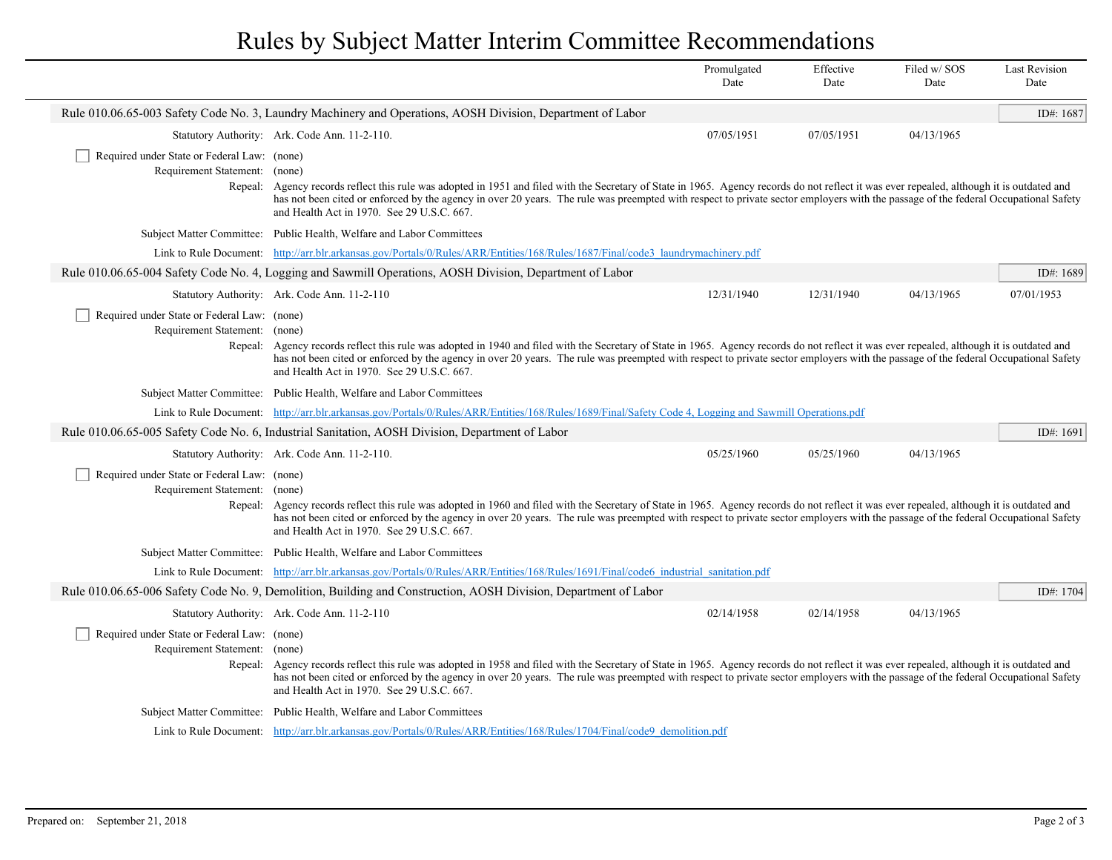## Rules by Subject Matter Interim Committee Recommendations

|                                                                                                              |                                                                                                                                                                                                                                                                                                                                                                                                                                 | Promulgated<br>Date | Effective<br>Date | Filed w/SOS<br>Date | <b>Last Revision</b><br>Date |  |
|--------------------------------------------------------------------------------------------------------------|---------------------------------------------------------------------------------------------------------------------------------------------------------------------------------------------------------------------------------------------------------------------------------------------------------------------------------------------------------------------------------------------------------------------------------|---------------------|-------------------|---------------------|------------------------------|--|
| Rule 010.06.65-003 Safety Code No. 3, Laundry Machinery and Operations, AOSH Division, Department of Labor   |                                                                                                                                                                                                                                                                                                                                                                                                                                 |                     |                   |                     |                              |  |
|                                                                                                              | Statutory Authority: Ark. Code Ann. 11-2-110.                                                                                                                                                                                                                                                                                                                                                                                   | 07/05/1951          | 07/05/1951        | 04/13/1965          |                              |  |
| Required under State or Federal Law: (none)<br>Requirement Statement: (none)<br>Repeal:                      | Agency records reflect this rule was adopted in 1951 and filed with the Secretary of State in 1965. Agency records do not reflect it was ever repealed, although it is outdated and<br>has not been cited or enforced by the agency in over 20 years. The rule was preempted with respect to private sector employers with the passage of the federal Occupational Safety<br>and Health Act in 1970. See 29 U.S.C. 667.         |                     |                   |                     |                              |  |
|                                                                                                              | Subject Matter Committee: Public Health, Welfare and Labor Committees                                                                                                                                                                                                                                                                                                                                                           |                     |                   |                     |                              |  |
|                                                                                                              | Link to Rule Document: http://arr.blr.arkansas.gov/Portals/0/Rules/ARR/Entities/168/Rules/1687/Final/code3 laundrymachinery.pdf                                                                                                                                                                                                                                                                                                 |                     |                   |                     |                              |  |
|                                                                                                              | Rule 010.06.65-004 Safety Code No. 4, Logging and Sawmill Operations, AOSH Division, Department of Labor                                                                                                                                                                                                                                                                                                                        |                     |                   |                     | ID#: 1689                    |  |
|                                                                                                              | Statutory Authority: Ark. Code Ann. 11-2-110                                                                                                                                                                                                                                                                                                                                                                                    | 12/31/1940          | 12/31/1940        | 04/13/1965          | 07/01/1953                   |  |
| Required under State or Federal Law: (none)<br>Requirement Statement: (none)<br>Repeal:                      | Agency records reflect this rule was adopted in 1940 and filed with the Secretary of State in 1965. Agency records do not reflect it was ever repealed, although it is outdated and<br>has not been cited or enforced by the agency in over 20 years. The rule was preempted with respect to private sector employers with the passage of the federal Occupational Safety<br>and Health Act in 1970. See 29 U.S.C. 667.         |                     |                   |                     |                              |  |
|                                                                                                              | Subject Matter Committee: Public Health, Welfare and Labor Committees                                                                                                                                                                                                                                                                                                                                                           |                     |                   |                     |                              |  |
|                                                                                                              | Link to Rule Document: http://arr.blr.arkansas.gov/Portals/0/Rules/ARR/Entities/168/Rules/1689/Final/Safety Code 4, Logging and Sawmill Operations.pdf                                                                                                                                                                                                                                                                          |                     |                   |                     |                              |  |
| Rule 010.06.65-005 Safety Code No. 6, Industrial Sanitation, AOSH Division, Department of Labor<br>ID#: 1691 |                                                                                                                                                                                                                                                                                                                                                                                                                                 |                     |                   |                     |                              |  |
|                                                                                                              | Statutory Authority: Ark. Code Ann. 11-2-110.                                                                                                                                                                                                                                                                                                                                                                                   | 05/25/1960          | 05/25/1960        | 04/13/1965          |                              |  |
| Required under State or Federal Law: (none)<br>Requirement Statement: (none)<br>Repeal:                      | Agency records reflect this rule was adopted in 1960 and filed with the Secretary of State in 1965. Agency records do not reflect it was ever repealed, although it is outdated and<br>has not been cited or enforced by the agency in over 20 years. The rule was preempted with respect to private sector employers with the passage of the federal Occupational Safety<br>and Health Act in 1970. See 29 U.S.C. 667.         |                     |                   |                     |                              |  |
|                                                                                                              | Subject Matter Committee: Public Health, Welfare and Labor Committees                                                                                                                                                                                                                                                                                                                                                           |                     |                   |                     |                              |  |
|                                                                                                              | Link to Rule Document: http://arr.blr.arkansas.gov/Portals/0/Rules/ARR/Entities/168/Rules/1691/Final/code6 industrial sanitation.pdf                                                                                                                                                                                                                                                                                            |                     |                   |                     |                              |  |
|                                                                                                              | Rule 010.06.65-006 Safety Code No. 9, Demolition, Building and Construction, AOSH Division, Department of Labor                                                                                                                                                                                                                                                                                                                 |                     |                   |                     | ID#: 1704                    |  |
|                                                                                                              | Statutory Authority: Ark. Code Ann. 11-2-110                                                                                                                                                                                                                                                                                                                                                                                    | 02/14/1958          | 02/14/1958        | 04/13/1965          |                              |  |
| Required under State or Federal Law: (none)<br>Requirement Statement: (none)                                 | Repeal: Agency records reflect this rule was adopted in 1958 and filed with the Secretary of State in 1965. Agency records do not reflect it was ever repealed, although it is outdated and<br>has not been cited or enforced by the agency in over 20 years. The rule was preempted with respect to private sector employers with the passage of the federal Occupational Safety<br>and Health Act in 1970. See 29 U.S.C. 667. |                     |                   |                     |                              |  |
|                                                                                                              | Subject Matter Committee: Public Health, Welfare and Labor Committees                                                                                                                                                                                                                                                                                                                                                           |                     |                   |                     |                              |  |
|                                                                                                              | Link to Rule Document: http://arr.blr.arkansas.gov/Portals/0/Rules/ARR/Entities/168/Rules/1704/Final/code9 demolition.pdf                                                                                                                                                                                                                                                                                                       |                     |                   |                     |                              |  |